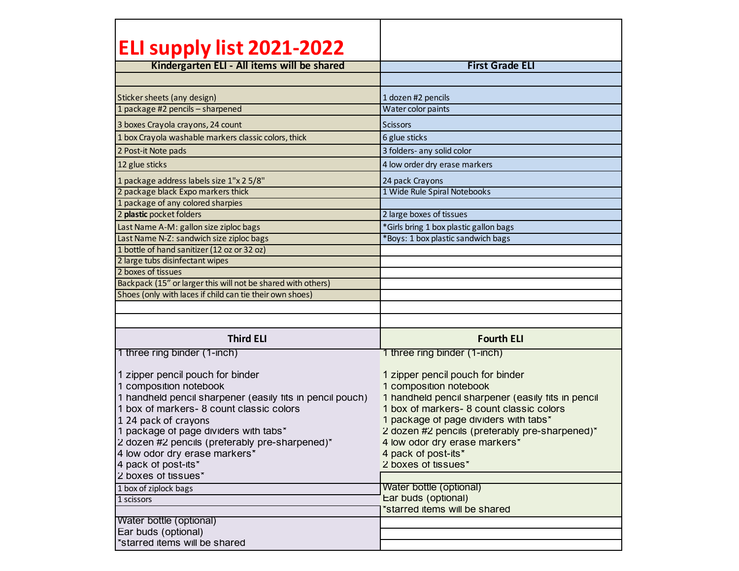| <b>ELI supply list 2021-2022</b>                                                                                                                                                                                                                                                                                                                                      |                                                                                                                                                                                                                                                                                                                                       |  |
|-----------------------------------------------------------------------------------------------------------------------------------------------------------------------------------------------------------------------------------------------------------------------------------------------------------------------------------------------------------------------|---------------------------------------------------------------------------------------------------------------------------------------------------------------------------------------------------------------------------------------------------------------------------------------------------------------------------------------|--|
| Kindergarten ELI - All items will be shared                                                                                                                                                                                                                                                                                                                           | <b>First Grade ELI</b>                                                                                                                                                                                                                                                                                                                |  |
|                                                                                                                                                                                                                                                                                                                                                                       |                                                                                                                                                                                                                                                                                                                                       |  |
| Sticker sheets (any design)                                                                                                                                                                                                                                                                                                                                           | 1 dozen #2 pencils                                                                                                                                                                                                                                                                                                                    |  |
| 1 package #2 pencils - sharpened                                                                                                                                                                                                                                                                                                                                      | Water color paints                                                                                                                                                                                                                                                                                                                    |  |
| 3 boxes Crayola crayons, 24 count                                                                                                                                                                                                                                                                                                                                     | <b>Scissors</b>                                                                                                                                                                                                                                                                                                                       |  |
| 1 box Crayola washable markers classic colors, thick                                                                                                                                                                                                                                                                                                                  | 6 glue sticks                                                                                                                                                                                                                                                                                                                         |  |
| 2 Post-it Note pads                                                                                                                                                                                                                                                                                                                                                   | 3 folders- any solid color                                                                                                                                                                                                                                                                                                            |  |
| 12 glue sticks                                                                                                                                                                                                                                                                                                                                                        | 4 low order dry erase markers                                                                                                                                                                                                                                                                                                         |  |
| 1 package address labels size 1"x 2 5/8"                                                                                                                                                                                                                                                                                                                              | 24 pack Crayons                                                                                                                                                                                                                                                                                                                       |  |
| 2 package black Expo markers thick                                                                                                                                                                                                                                                                                                                                    | 1 Wide Rule Spiral Notebooks                                                                                                                                                                                                                                                                                                          |  |
| 1 package of any colored sharpies                                                                                                                                                                                                                                                                                                                                     |                                                                                                                                                                                                                                                                                                                                       |  |
| 2 plastic pocket folders                                                                                                                                                                                                                                                                                                                                              | 2 large boxes of tissues                                                                                                                                                                                                                                                                                                              |  |
| Last Name A-M: gallon size ziploc bags                                                                                                                                                                                                                                                                                                                                | *Girls bring 1 box plastic gallon bags                                                                                                                                                                                                                                                                                                |  |
| Last Name N-Z: sandwich size ziploc bags                                                                                                                                                                                                                                                                                                                              | *Boys: 1 box plastic sandwich bags                                                                                                                                                                                                                                                                                                    |  |
| 1 bottle of hand sanitizer (12 oz or 32 oz)                                                                                                                                                                                                                                                                                                                           |                                                                                                                                                                                                                                                                                                                                       |  |
| 2 large tubs disinfectant wipes                                                                                                                                                                                                                                                                                                                                       |                                                                                                                                                                                                                                                                                                                                       |  |
| 2 boxes of tissues                                                                                                                                                                                                                                                                                                                                                    |                                                                                                                                                                                                                                                                                                                                       |  |
| Backpack (15" or larger this will not be shared with others)                                                                                                                                                                                                                                                                                                          |                                                                                                                                                                                                                                                                                                                                       |  |
| Shoes (only with laces if child can tie their own shoes)                                                                                                                                                                                                                                                                                                              |                                                                                                                                                                                                                                                                                                                                       |  |
|                                                                                                                                                                                                                                                                                                                                                                       |                                                                                                                                                                                                                                                                                                                                       |  |
|                                                                                                                                                                                                                                                                                                                                                                       |                                                                                                                                                                                                                                                                                                                                       |  |
| <b>Third ELI</b>                                                                                                                                                                                                                                                                                                                                                      | <b>Fourth ELI</b>                                                                                                                                                                                                                                                                                                                     |  |
| 1 three ring binder (1-inch)                                                                                                                                                                                                                                                                                                                                          | 1 three ring binder (1-inch)                                                                                                                                                                                                                                                                                                          |  |
| 1 zipper pencil pouch for binder<br>1 composition notebook<br>1 handheld pencil sharpener (easily fits in pencil pouch)<br>1 box of markers- 8 count classic colors<br>1 24 pack of crayons<br>1 package of page dividers with tabs*<br>2 dozen #2 pencils (preterably pre-sharpened)*<br>4 low odor dry erase markers*<br>4 pack of post-its*<br>2 boxes of tissues* | 1 zipper pencil pouch for binder<br>1 composition notebook<br>1 handheld pencil sharpener (easily fits in pencil<br>1 box of markers-8 count classic colors<br>1 package of page dividers with tabs*<br>2 dozen #2 pencils (preferably pre-sharpened)*<br>4 low odor dry erase markers'<br>4 pack of post-its*<br>2 boxes of tissues* |  |
| 1 box of ziplock bags                                                                                                                                                                                                                                                                                                                                                 | Water bottle (optional)                                                                                                                                                                                                                                                                                                               |  |
| 1 scissors                                                                                                                                                                                                                                                                                                                                                            | Ear buds (optional)                                                                                                                                                                                                                                                                                                                   |  |
|                                                                                                                                                                                                                                                                                                                                                                       | *starred items will be shared                                                                                                                                                                                                                                                                                                         |  |
| Water bottle (optional)                                                                                                                                                                                                                                                                                                                                               |                                                                                                                                                                                                                                                                                                                                       |  |
| Ear buds (optional)                                                                                                                                                                                                                                                                                                                                                   |                                                                                                                                                                                                                                                                                                                                       |  |
| "starred items will be shared                                                                                                                                                                                                                                                                                                                                         |                                                                                                                                                                                                                                                                                                                                       |  |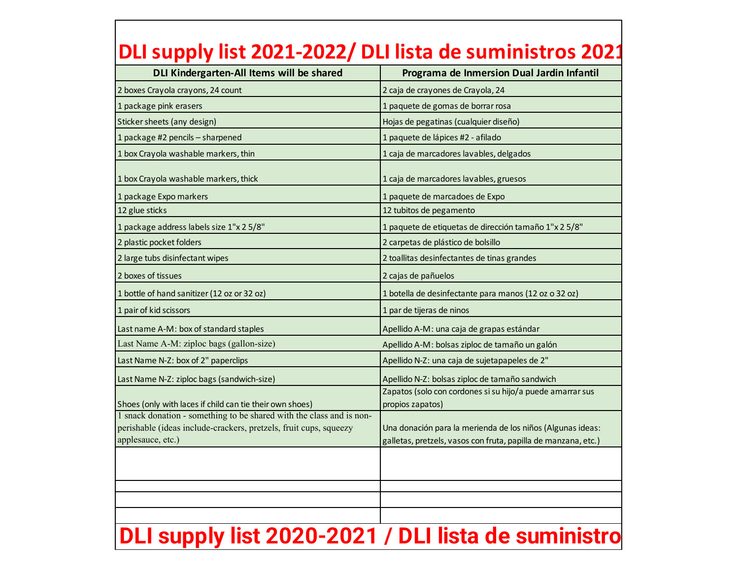| DLI Kindergarten-All Items will be shared                                                                                                                      | Programa de Inmersion Dual Jardin Infantil                                                                                   |
|----------------------------------------------------------------------------------------------------------------------------------------------------------------|------------------------------------------------------------------------------------------------------------------------------|
| 2 boxes Crayola crayons, 24 count                                                                                                                              | 2 caja de crayones de Crayola, 24                                                                                            |
| 1 package pink erasers                                                                                                                                         | 1 paquete de gomas de borrar rosa                                                                                            |
| Sticker sheets (any design)                                                                                                                                    | Hojas de pegatinas (cualquier diseño)                                                                                        |
| 1 package #2 pencils - sharpened                                                                                                                               | 1 paquete de lápices #2 - afilado                                                                                            |
| 1 box Crayola washable markers, thin                                                                                                                           | 1 caja de marcadores lavables, delgados                                                                                      |
| 1 box Crayola washable markers, thick                                                                                                                          | 1 caja de marcadores lavables, gruesos                                                                                       |
| 1 package Expo markers                                                                                                                                         | 1 paquete de marcadoes de Expo                                                                                               |
| 12 glue sticks                                                                                                                                                 | 12 tubitos de pegamento                                                                                                      |
| 1 package address labels size 1"x 2 5/8"                                                                                                                       | 1 paquete de etiquetas de dirección tamaño 1"x 2 5/8"                                                                        |
| 2 plastic pocket folders                                                                                                                                       | 2 carpetas de plástico de bolsillo                                                                                           |
| 2 large tubs disinfectant wipes                                                                                                                                | 2 toallitas desinfectantes de tinas grandes                                                                                  |
| 2 boxes of tissues                                                                                                                                             | 2 cajas de pañuelos                                                                                                          |
| 1 bottle of hand sanitizer (12 oz or 32 oz)                                                                                                                    | 1 botella de desinfectante para manos (12 oz o 32 oz)                                                                        |
| 1 pair of kid scissors                                                                                                                                         | 1 par de tijeras de ninos                                                                                                    |
| Last name A-M: box of standard staples                                                                                                                         | Apellido A-M: una caja de grapas estándar                                                                                    |
| Last Name A-M: ziploc bags (gallon-size)                                                                                                                       | Apellido A-M: bolsas ziploc de tamaño un galón                                                                               |
| Last Name N-Z: box of 2" paperclips                                                                                                                            | Apellido N-Z: una caja de sujetapapeles de 2"                                                                                |
| Last Name N-Z: ziploc bags (sandwich-size)                                                                                                                     | Apellido N-Z: bolsas ziploc de tamaño sandwich                                                                               |
| Shoes (only with laces if child can tie their own shoes)                                                                                                       | Zapatos (solo con cordones si su hijo/a puede amarrar sus<br>propios zapatos)                                                |
| 1 snack donation - something to be shared with the class and is non-<br>perishable (ideas include-crackers, pretzels, fruit cups, squeezy<br>applesauce, etc.) | Una donación para la merienda de los niños (Algunas ideas:<br>galletas, pretzels, vasos con fruta, papilla de manzana, etc.) |
|                                                                                                                                                                |                                                                                                                              |
|                                                                                                                                                                |                                                                                                                              |
|                                                                                                                                                                |                                                                                                                              |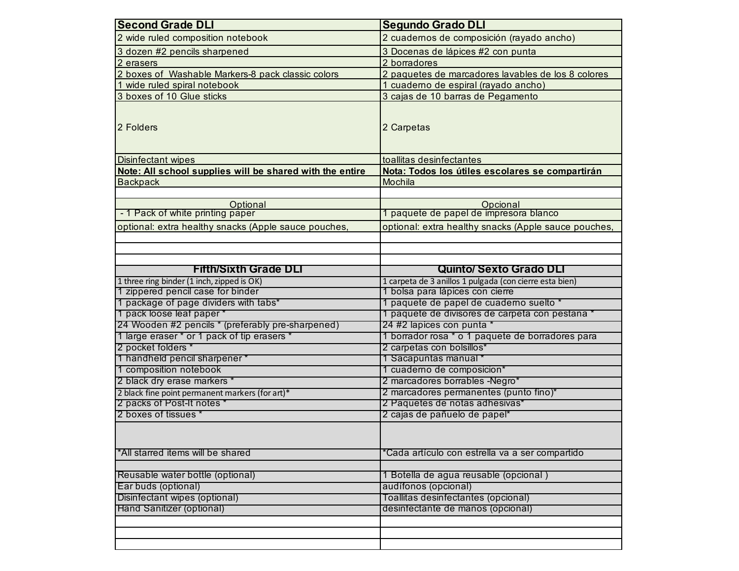| <b>Second Grade DLI</b>                                                       | <b>Segundo Grado DLI</b>                                |  |  |
|-------------------------------------------------------------------------------|---------------------------------------------------------|--|--|
| 2 wide ruled composition notebook                                             | 2 cuadernos de composición (rayado ancho)               |  |  |
| 3 dozen #2 pencils sharpened                                                  | 3 Docenas de lápices #2 con punta                       |  |  |
| 2 erasers                                                                     | 2 borradores                                            |  |  |
| 2 boxes of Washable Markers-8 pack classic colors                             | 2 paquetes de marcadores lavables de los 8 colores      |  |  |
| wide ruled spiral notebook<br>-1                                              | 1 cuaderno de espiral (rayado ancho)                    |  |  |
| 3 boxes of 10 Glue sticks                                                     | 3 cajas de 10 barras de Pegamento                       |  |  |
| 2 Folders                                                                     | 2 Carpetas                                              |  |  |
| Disinfectant wipes                                                            | toallitas desinfectantes                                |  |  |
| Note: All school supplies will be shared with the entire                      | Nota: Todos los útiles escolares se compartirán         |  |  |
| <b>Backpack</b>                                                               | Mochila                                                 |  |  |
| Optional                                                                      |                                                         |  |  |
| - 1 Pack of white printing paper                                              | Opcional<br>1 paquete de papel de impresora blanco      |  |  |
| optional: extra healthy snacks (Apple sauce pouches,                          | optional: extra healthy snacks (Apple sauce pouches,    |  |  |
|                                                                               |                                                         |  |  |
|                                                                               |                                                         |  |  |
|                                                                               |                                                         |  |  |
| <b>Fifth/Sixth Grade DLI</b>                                                  | <b>Quinto/ Sexto Grado DLI</b>                          |  |  |
| 1 three ring binder (1 inch, zipped is OK)                                    | 1 carpeta de 3 anillos 1 pulgada (con cierre esta bien) |  |  |
| 1 zippered pencil case for binder                                             | 1 bolsa para lápices con cierre                         |  |  |
| 1 package of page dividers with tabs*                                         | 1 paquete de papel de cuaderno suelto *                 |  |  |
| 1 pack loose leaf paper *                                                     | 1 paquete de divisores de carpeta con pestana *         |  |  |
| 24 Wooden #2 pencils * (preferably pre-sharpened)                             | 24 #2 lapices con punta *                               |  |  |
| 1 large eraser * or 1 pack of tip erasers *<br>2 pocket folders *             | 1 borrador rosa * o 1 paquete de borradores para        |  |  |
|                                                                               | 2 carpetas con bolsillos*                               |  |  |
| 1 handheld pencil sharpener *<br>1 composition notebook                       | 1 Sacapuntas manual *                                   |  |  |
| 2 black dry erase markers *                                                   | 1 cuaderno de composicion*                              |  |  |
|                                                                               | 2 marcadores borrables -Negro*                          |  |  |
| 2 black fine point permanent markers (for art)*<br>2 packs of Post-It notes * | 2 marcadores permanentes (punto fino)*                  |  |  |
| 2 boxes of tissues *                                                          | 2 Paquetes de notas adhesivas*                          |  |  |
|                                                                               | 2 cajas de pañuelo de papel*                            |  |  |
|                                                                               |                                                         |  |  |
|                                                                               |                                                         |  |  |
| *All starred items will be shared                                             | 'Cada artículo con estrella va a ser compartido         |  |  |
| Reusable water bottle (optional)                                              | 1 Botella de agua reusable (opcional)                   |  |  |
| Ear buds (optional)                                                           | audífonos (opcional)                                    |  |  |
| Disinfectant wipes (optional)                                                 | Toallitas desinfectantes (opcional)                     |  |  |
| Hand Sanitizer (optional)                                                     | desinfectante de manos (opcional)                       |  |  |
|                                                                               |                                                         |  |  |
|                                                                               |                                                         |  |  |
|                                                                               |                                                         |  |  |
|                                                                               |                                                         |  |  |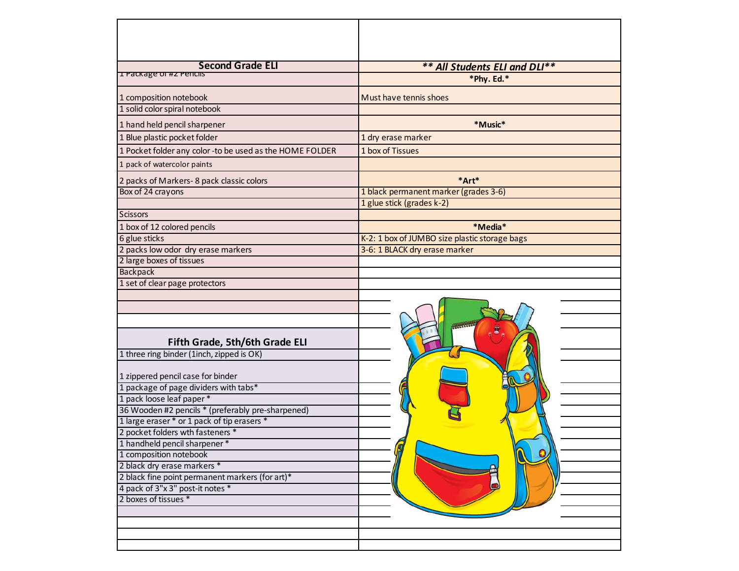| <b>Second Grade ELI</b>                                 | ** All Students ELI and DLI**                 |
|---------------------------------------------------------|-----------------------------------------------|
| <b>I Package of #2 Pencils</b>                          | *Phy. Ed.*                                    |
| 1 composition notebook                                  | Must have tennis shoes                        |
| 1 solid color spiral notebook                           |                                               |
| 1 hand held pencil sharpener                            | *Music*                                       |
| 1 Blue plastic pocket folder                            | 1 dry erase marker                            |
| 1 Pocket folder any color-to be used as the HOME FOLDER | 1 box of Tissues                              |
| 1 pack of watercolor paints                             |                                               |
| 2 packs of Markers-8 pack classic colors                | *Art*                                         |
| Box of 24 crayons                                       | 1 black permanent marker (grades 3-6)         |
|                                                         | 1 glue stick (grades k-2)                     |
| <b>Scissors</b>                                         |                                               |
| 1 box of 12 colored pencils                             | *Media*                                       |
| 6 glue sticks                                           | K-2: 1 box of JUMBO size plastic storage bags |
| 2 packs low odor dry erase markers                      | 3-6: 1 BLACK dry erase marker                 |
| 2 large boxes of tissues                                |                                               |
| Backpack                                                |                                               |
| 1 set of clear page protectors                          |                                               |
|                                                         | <b>RANGELO</b>                                |
| Fifth Grade, 5th/6th Grade ELI                          |                                               |
| 1 three ring binder (1inch, zipped is OK)               |                                               |
| 1 zippered pencil case for binder                       |                                               |
| 1 package of page dividers with tabs*                   |                                               |
| 1 pack loose leaf paper *                               |                                               |
| 36 Wooden #2 pencils * (preferably pre-sharpened)       |                                               |
| 1 large eraser * or 1 pack of tip erasers *             |                                               |
| 2 pocket folders wth fasteners *                        |                                               |
| 1 handheld pencil sharpener*                            |                                               |
| 1 composition notebook                                  |                                               |
| 2 black dry erase markers *                             |                                               |
| 2 black fine point permanent markers (for art)*         |                                               |
| 4 pack of 3"x 3" post-it notes *                        |                                               |
| 2 boxes of tissues *                                    |                                               |
|                                                         |                                               |
|                                                         |                                               |
|                                                         |                                               |
|                                                         |                                               |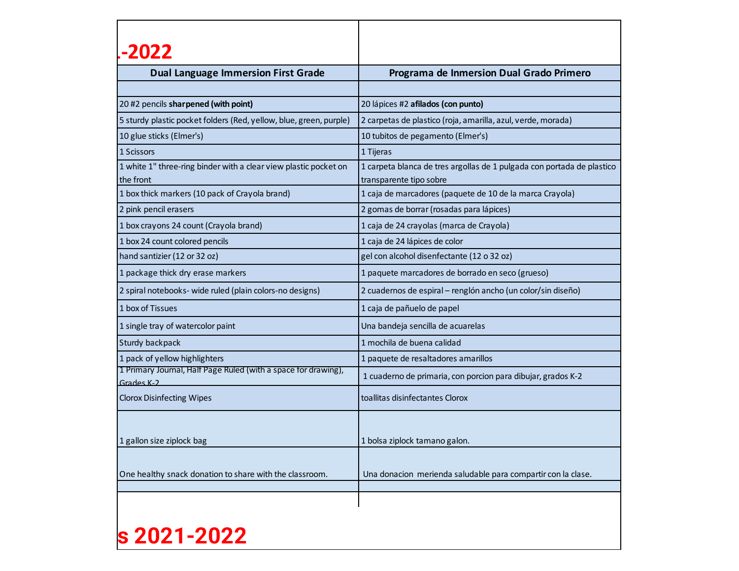| -2022                 |                                                                    |                                                                                                   |
|-----------------------|--------------------------------------------------------------------|---------------------------------------------------------------------------------------------------|
|                       | <b>Dual Language Immersion First Grade</b>                         | Programa de Inmersion Dual Grado Primero                                                          |
|                       |                                                                    |                                                                                                   |
|                       | 20 #2 pencils sharpened (with point)                               | 20 lápices #2 afilados (con punto)                                                                |
|                       | 5 sturdy plastic pocket folders (Red, yellow, blue, green, purple) | 2 carpetas de plastico (roja, amarilla, azul, verde, morada)                                      |
|                       | 10 glue sticks (Elmer's)                                           | 10 tubitos de pegamento (Elmer's)                                                                 |
| 1 Scissors            |                                                                    | 1 Tijeras                                                                                         |
| the front             | 1 white 1" three-ring binder with a clear view plastic pocket on   | 1 carpeta blanca de tres argollas de 1 pulgada con portada de plastico<br>transparente tipo sobre |
|                       | 1 box thick markers (10 pack of Crayola brand)                     | 1 caja de marcadores (paquete de 10 de la marca Crayola)                                          |
| 2 pink pencil erasers |                                                                    | 2 gomas de borrar (rosadas para lápices)                                                          |
|                       | 1 box crayons 24 count (Crayola brand)                             | 1 caja de 24 crayolas (marca de Crayola)                                                          |
|                       | 1 box 24 count colored pencils                                     | 1 caja de 24 lápices de color                                                                     |
|                       | hand santizier (12 or 32 oz)                                       | gel con alcohol disenfectante (12 o 32 oz)                                                        |
|                       | 1 package thick dry erase markers                                  | 1 paquete marcadores de borrado en seco (grueso)                                                  |
|                       | 2 spiral notebooks- wide ruled (plain colors-no designs)           | 2 cuadernos de espiral - renglón ancho (un color/sin diseño)                                      |
| 1 box of Tissues      |                                                                    | 1 caja de pañuelo de papel                                                                        |
|                       | 1 single tray of watercolor paint                                  | Una bandeja sencilla de acuarelas                                                                 |
| Sturdy backpack       |                                                                    | 1 mochila de buena calidad                                                                        |
|                       | 1 pack of yellow highlighters                                      | 1 paquete de resaltadores amarillos                                                               |
| Grades K-2            | 1 Primary Journal, Half Page Ruled (with a space for drawing),     | 1 cuaderno de primaria, con porcion para dibujar, grados K-2                                      |
|                       | <b>Clorox Disinfecting Wipes</b>                                   | toallitas disinfectantes Clorox                                                                   |
|                       | 1 gallon size ziplock bag                                          | 1 bolsa ziplock tamano galon.                                                                     |
|                       |                                                                    |                                                                                                   |
|                       | One healthy snack donation to share with the classroom.            | Una donacion merienda saludable para compartir con la clase.                                      |
|                       |                                                                    |                                                                                                   |

## **s** 2021-2022